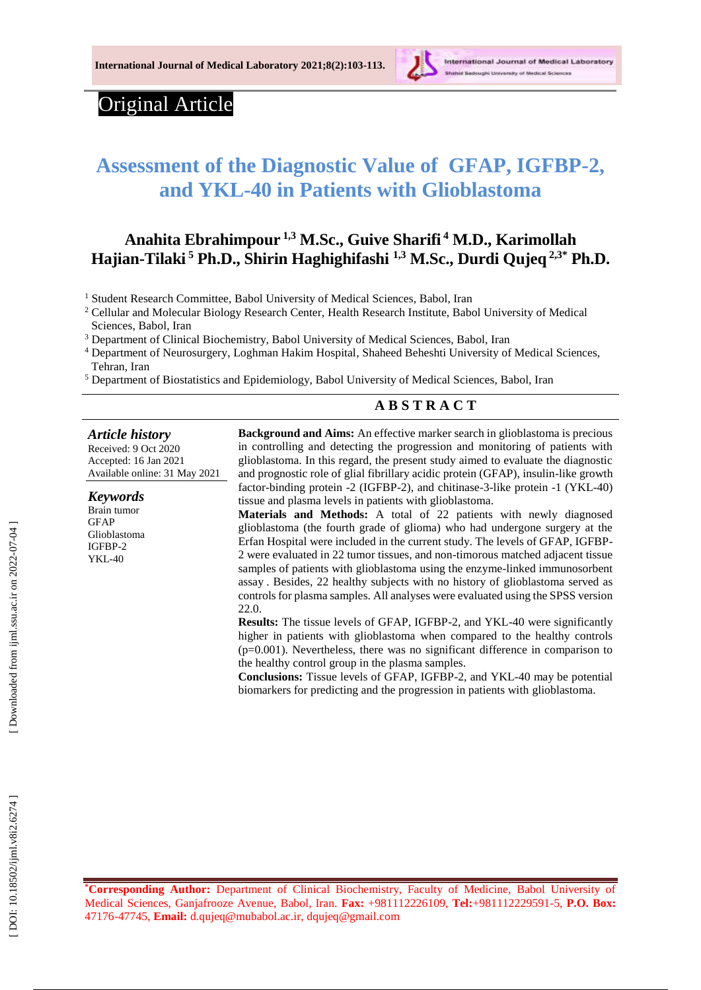

# Original Article

# **Assessment of the Diagnostic Value of GFAP, IGFBP -2, and YKL -40 in Patients with Glioblastoma**

# **Anahita Ebrahimpour 1,3 M .Sc., Guive Sharifi 4 M.D., Karimollah Hajian -Tilaki <sup>5</sup> Ph.D., Shirin Haghighifashi 1,3 M .Sc., Durdi Qujeq 2,3 \* Ph.D .**

<sup>1</sup> Student Research Committee, Babol University of Medical Sciences, Babol, Iran

<sup>2</sup> Cellular and Molecular Biology Research Center, Health Research Institute, Babol University of Medical Sciences, Babol, Iran

<sup>3</sup> Department of Clinical Biochemistry, Babol University of Medical Sciences, Babol, Iran

<sup>4</sup> Department of Neurosurgery, Loghman Hakim Hospital, Shaheed Beheshti University of Medical Sciences, Tehran, Iran

<sup>5</sup> Department of Biostatistics and Epidemiology, Babol University of Medical Sciences, Babol, Iran

### **A B S T R A C T**

*Article history* Received: 9 Oct 2020 Accepted : 16 Jan 202 1 Available online : 31 May 20 2 1 *Keywords* Brain tumor GFA P Glioblastoma IGFBP-2 YKL-40 **Background and Aims:** An effective marker search in glioblastoma is precious in controlling and detecting the progression and monitoring of patients with glioblastoma. In this regard, the present study aimed to evaluate the diagnostic and prognostic role of glial fibrillary acidic protein (GFAP), insulin -like growth factor-binding protein -2 (IGFBP-2), and chitinase-3-like protein -1 (YKL-40) tissue and plasma levels in patients with glioblastoma . **Materials and Methods:** A total of 22 patients with newly diagnosed glioblastoma (the fourth grade of glioma) who had undergone surgery at the Erfan Hospital were included in the current study. The levels of GFAP, IGFBP - 2 were evaluated in 22 tumor tissues, and non -timorous matched adjacent tissue samples of patients with glioblastoma using the enzyme -linked immunosorbent assay . Besides, 22 healthy subjects with no history of glioblastoma served as controls for plasma samples. All analyses were evaluated using the SPSS version 22.0. Results: The tissue levels of GFAP, IGFBP-2, and YKL-40 were significantly higher in patients with glioblastoma when compared to the healthy controls (p=0.001). Nevertheless, there was no significant difference in comparison to the healthy control group in the plasma samples. **Conclusions:** Tissue levels of GFAP, IGFBP -2, and YKL -40 may be potential biomarkers for predicting and the progression in patients with glioblastoma .

**\*Corresponding Author:** Department of Clinical Biochemistry, Faculty of Medicine, Babol University of Medical Sciences, Ganjafrooze Avenue, Babol, Iran. **Fax:** +981112226109, **Tel:**[+981112229591](tel:+981112229591-5) - 5, **P.O. Box:** 47176 -47745, **Email:** [d.qujeq@mubabol.ac.ir](mailto:d.qujeq@mubabol.ac.ir) , [dqujeq@gmail.com](mailto:dqujeq@gmail.com)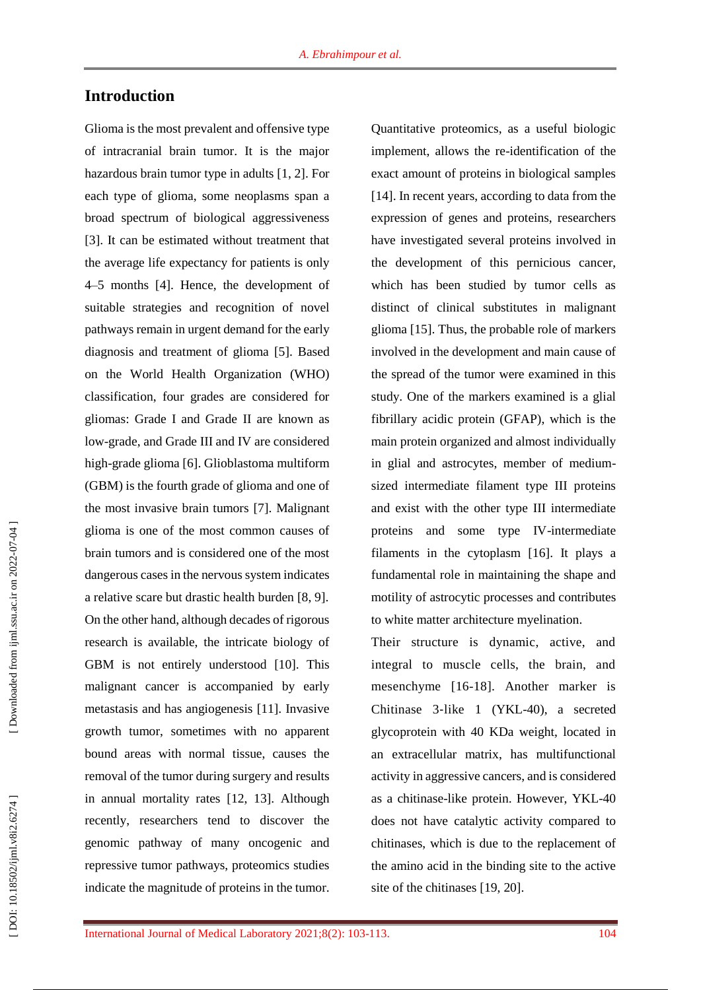# **Introduction**

Glioma is the most prevalent and offensive type of intracranial brain tumor. It is the major hazardous brain tumor type in adults [1, 2]. For each type of glioma, some neoplasms span a broad spectrum of biological aggressiveness [3]. It can be estimated without treatment that the average life expectancy for patients is only 4–5 months [4]. Hence, the development of suitable strategies and recognition of novel pathways remain in urgent demand for the early diagnosis and treatment of glioma [5]. Based on the World Health Organization (WHO) classification, four grades are considered for gliomas: Grade I and Grade II are known as low -grade, and Grade III and IV are considered high -grade glioma [6]. Glioblastoma multiform (GBM) is the fourth grade of glioma and one of the most invasive brain tumors [7]. Malignant glioma is one of the most common causes of brain tumors and is considered one of the most dangerous cases in the nervous system indicates a relative scare but drastic health burden [8, 9] . On the other hand, although decades of rigorous research is available, the intricate biology of GBM is not entirely understood [10]. This malignant cancer is accompanied by early metastasis and has angiogenesis [11]. Invasive growth tumor, sometimes with no apparent bound areas with normal tissue, causes the removal of the tumor during surgery and results in annual mortality rates [12, 13]. Although recently, researchers tend to discover the genomic pathway of many oncogenic and repressive tumor pathways, proteomics studies indicate the magnitude of proteins in the tumor.

Quantitative proteomics, as a useful biologic implement, allows the re -identification of the exact amount of proteins in biological samples [14]. In recent years, according to data from the expression of genes and proteins, researchers have investigated several proteins involved in the development of this pernicious cancer, which has been studied by tumor cells as distinct of clinical substitutes in malignant glioma [15]. Thus, the probable role of markers involved in the development and main cause of the spread of the tumor were examined in this study. One of the markers examined is a glial fibrillary acidic protein (GFAP), which is the main protein organized and almost individually in glial and astrocytes, member of medium sized intermediate filament type III proteins and exist with the other type III intermediate proteins and some type IV -intermediate filaments in the cytoplasm [16]. It plays a fundamental role in maintaining the shape and motility of astrocytic processes and contributes to white matter architecture myelination.

Their structure is dynamic, active, and integral to muscle cells, the brain, and mesenchyme [16 -18]. Another marker is Chitinase 3-like 1 (YKL-40), a secreted glycoprotein with 40 KDa weight, located in an extracellular matrix, has multifunctional activity in aggressive cancers, and is considered as a chitinase -like protein. However, YKL -40 does not have catalytic activity compared to chitinases, which is due to the replacement of the amino acid in the binding site to the active site of the chitinases [19, 20] .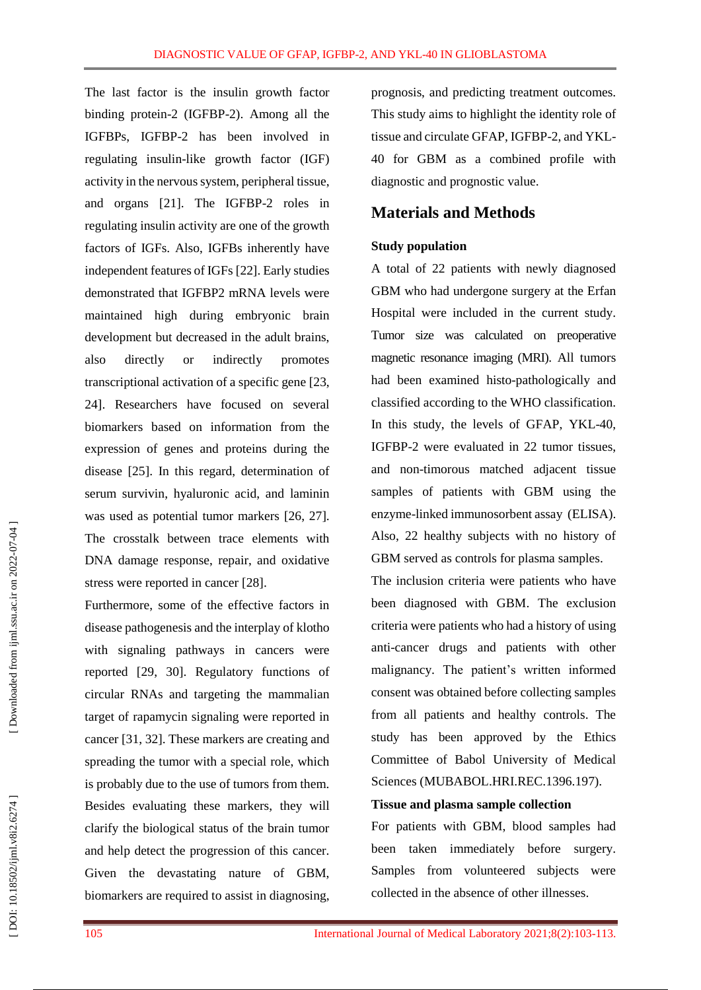The last factor is the insulin growth factor binding protein -2 (IGFBP -2). Among all the IGFBPs, IGFBP -2 has been involved in regulating insulin -like growth factor (IGF ) activity in the nervous system, peripheral tissue, and organs [21]. The IGFBP -2 roles in regulating insulin activity are one of the growth factors of IGFs. Also, IGFBs inherently have independent features of IGFs [22]. Early studies demonstrated that IGFBP2 mRNA levels were maintained high during embryonic brain development but decreased in the adult brains, also directly or indirectly promotes transcriptional activation of a specific gene [23, 24]. Researchers have focused on several biomarkers based on information from the expression of genes and proteins during the disease [25]. In this regard, determination of serum survivin, hyaluronic acid, and laminin was used as potential tumor markers [26, 27]. The crosstalk between trace elements with DNA damage response, repair, and oxidative stress were reported in cancer [28].

Furthermore, some of the effective factors in disease pathogenesis and the interplay of klotho with signaling pathways in cancers were reported [29, 3 0]. Regulatory functions of circular RNAs and targeting the mammalian target of rapamycin signaling were reported in cancer [3 1 , 32]. These markers are creating and spreading the tumor with a special role, which is probably due to the use of tumors from them. Besides evaluating these markers, they will clarify the biological status of the brain tumor and help detect the progression of this cancer. Given the devastating nature of GBM, biomarkers are required to assist in diagnosing,

prognosis, and predicting treatment outcomes. This study aims to highlight the identity role of tissue and circulate GFAP, IGFBP -2, and YKL - 40 for GBM as a combined profile with diagnostic and prognostic value.

### **Materials and Methods**

#### **Study population**

A total of 22 patients with newly diagnosed GBM who had undergone surgery at the Erfan Hospital were included in the current study. Tumor size was calculated on preoperative magnetic resonance imaging (MRI) . All tumors had been examined histo -pathologically and classified according to the WHO classification. In this study, the levels of GFAP, YKL -40, IGFBP -2 were evaluated in 22 tumor tissues, and non -timorous matched adjacent tissue samples of patients with GBM using the enzyme -linked immunosorbent assay (ELISA ). Also, 22 healthy subjects with no history of GBM served as controls for plasma samples.

The inclusion criteria were patients who have been diagnosed with GBM. The exclusion criteria were patients who had a history of using anti -cancer drugs and patients with other malignancy. The patient's written informed consent was obtained before collecting samples from all patients and healthy controls. The study has been approved by the Ethics Committee of Babol University of Medical Sciences (MUBABOL.HRI.REC.1396.197).

### **Tissue and plasma sample collection**

For patients with GBM, blood samples had been taken immediately before surgery. Samples from volunteered subjects were collected in the absence of other illnesses.

DOI: 10.18502/ijml.v8i2.6274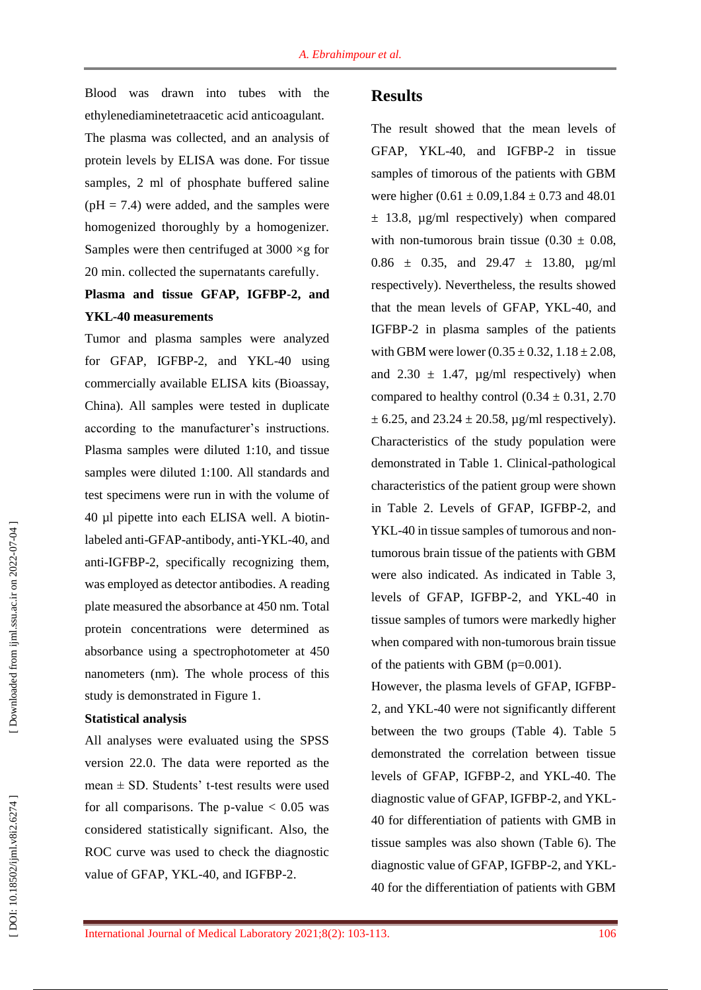Blood was drawn into tubes with the ethylenediaminetetraacetic acid anticoagulant. The plasma was collected, and an analysis of protein levels by ELISA was done. For tissue samples, 2 ml of phosphate buffered saline  $(pH = 7.4)$  were added, and the samples were homogenized thoroughly by a homogenizer. Samples were then centrifuged at  $3000 \times g$  for 20 min . collected the supernatants carefully .

# **Plasma and tissue GFAP, IGFBP -2, and YKL -40 measurements**

Tumor and plasma samples were analyzed for GFAP, IGFBP -2, and YKL -40 using commercially available ELISA kits (Bioassay, China). All samples were tested in duplicate according to the manufacturer's instructions. Plasma samples were diluted 1:10, and tissue samples were diluted 1:100. All standards and test specimens were run in with the volume of 40 µl pipette into each ELISA well. A biotin labeled anti-GFAP-antibody, anti-YKL-40, and anti -IGFBP -2, specifically recognizing them, was employed as detector antibodies. A reading plate measured the absorbance at 450 nm. Total protein concentrations were determined as absorbance using a spectrophotometer at 450 nanometers (nm). The whole process of this study is demonstrated in Figure 1.

#### **Statistical analysis**

All analyses were evaluated using the SPSS version 22.0. The data were reported as the mean ± SD. Students' t -test results were used for all comparisons. The  $p$ -value  $< 0.05$  was considered statistically significant. Also, the ROC curve was used to check the diagnostic value of GFAP, YKL-40, and IGFBP-2.

### **Results**

The result showed that the mean levels of GFAP, YKL -40, and IGFBP -2 in tissue samples of timorous of the patients with GBM were higher  $(0.61 \pm 0.09, 1.84 \pm 0.73)$  and 48.01  $\pm$  13.8, µg/ml respectively) when compared with non-tumorous brain tissue  $(0.30 \pm 0.08,$ 0.86  $\pm$  0.35, and 29.47  $\pm$  13.80,  $\mu$ g/ml respectively). Nevertheless, the results showed that the mean levels of GFAP, YKL -40, and IGFBP -2 in plasma samples of the patients with GBM were lower  $(0.35 \pm 0.32, 1.18 \pm 2.08,$ and  $2.30 \pm 1.47$ ,  $\mu$ g/ml respectively) when compared to healthy control  $(0.34 \pm 0.31, 2.70)$  $\pm$  6.25, and 23.24  $\pm$  20.58, µg/ml respectively). Characteristics of the study population were demonstrated in Table 1. Clinical -pathological characteristics of the patient group were shown in Table 2. Levels of GFAP, IGFBP -2, and YKL-40 in tissue samples of tumorous and nontumorous brain tissue of the patients with GBM were also indicated. As indicated in Table 3, levels of GFAP, IGFBP -2, and YKL -40 in tissue samples of tumors were markedly higher when compared with non -tumorous brain tissue of the patients with GBM (p=0.001) .

However, the plasma levels of GFAP, IGFBP - 2, and YKL -40 were not significantly different between the two groups (Table 4). Table 5 demonstrated the correlation between tissue levels of GFAP, IGFBP -2, and YKL -40. The diagnostic value of GFAP, IGFBP -2, and YKL - 40 for differentiation of patients with GMB in tissue samples was also shown (Table 6). The diagnostic value of GFAP, IGFBP -2, and YKL - 40 for the differentiation of patients with GBM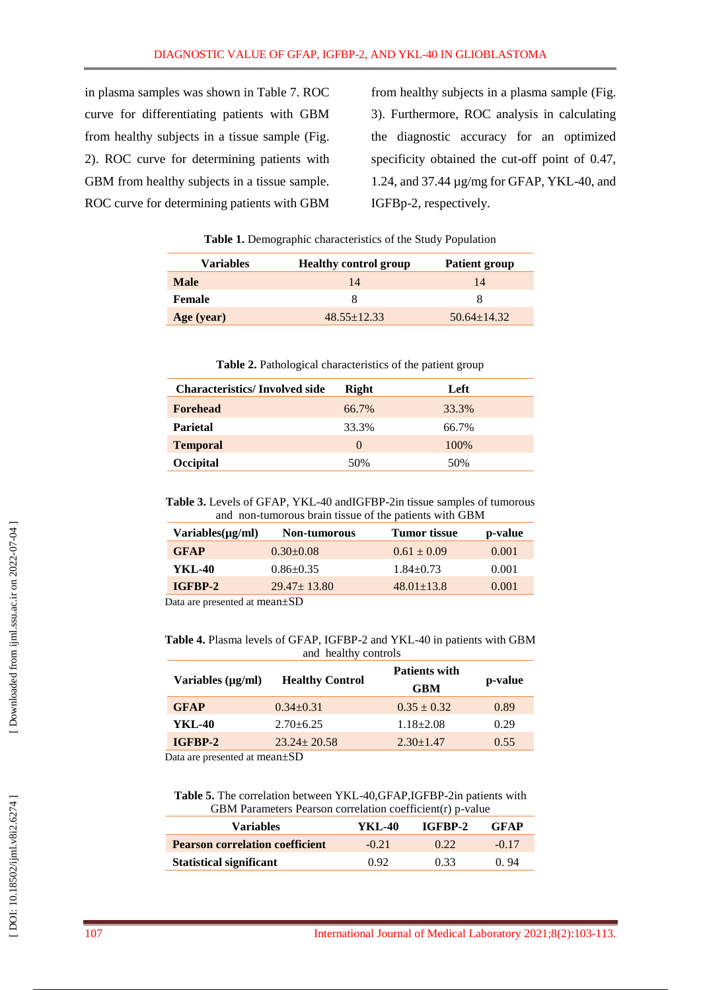in plasma samples was shown in Table 7. ROC curve for differentiating patients with GBM from healthy subjects in a tissue sample (Fig . 2). ROC curve for determining patients with GBM from healthy subjects in a tissue sample. ROC curve for determining patients with GBM

from healthy subjects in a plasma sample (Fig . 3). Furthermore, ROC analysis in calculating the diagnostic accuracy for an optimized specificity obtained the cut -off point of 0.47, 1.24, and 37.44 µg/mg for GFAP, YKL -40, and IGFBp -2, respectively.

| <b>Variables</b> | <b>Healthy control group</b> | <b>Patient group</b> |
|------------------|------------------------------|----------------------|
| <b>Male</b>      | 14                           | 14                   |
| Female           | x                            |                      |
| Age (year)       | $48.55+12.33$                | $50.64 + 14.32$      |

**Table 1 .** Demographic characteristics of the Study Population

**Table 2.** Pathological characteristics of the patient group

| <b>Characteristics/Involved side</b> | <b>Right</b>     | Left  |
|--------------------------------------|------------------|-------|
| <b>Forehead</b>                      | 66.7%            | 33.3% |
| <b>Parietal</b>                      | 33.3%            | 66.7% |
| <b>Temporal</b>                      | $\left( \right)$ | 100%  |
| Occipital                            | 50%              | 50%   |

Table 3. Levels of GFAP, YKL-40 andIGFBP-2in tissue samples of tumorous and non -tumorous brain tissue of the patients with GBM

| $\text{Variables}(\mu\text{g/ml})$ | <b>Tumor</b> tissue<br><b>Non-tumorous</b> |                  | p-value |
|------------------------------------|--------------------------------------------|------------------|---------|
| <b>GFAP</b>                        | $0.30+0.08$                                | $0.61 \pm 0.09$  | 0.001   |
| YKL-40                             | $0.86 \pm 0.35$                            | $1.84 + 0.73$    | 0.001   |
| IGFBP-2                            | $29.47 \pm 13.80$                          | $48.01 \pm 13.8$ | 0.001   |
|                                    | $\cdots$                                   |                  |         |

Data are presented at mean±SD

Table 4. Plasma levels of GFAP, IGFBP-2 and YKL-40 in patients with GBM and healthy controls

| Variables $(\mu g/ml)$             | <b>Healthy Control</b> | <b>Patients with</b><br><b>GBM</b> | p-value |
|------------------------------------|------------------------|------------------------------------|---------|
| <b>GFAP</b>                        | $0.34 + 0.31$          | $0.35 \pm 0.32$                    | 0.89    |
| YKL-40                             | $2.70 + 6.25$          | $1.18 \pm 2.08$                    | 0.29    |
| IGFBP-2                            | $23.24 \pm 20.58$      | $2.30 \pm 1.47$                    | 0.55    |
| $\cdot$ 1 $\cdot$ $\cdot$ $\alpha$ |                        |                                    |         |

Data are presented at mean±SD

Table 5. The correlation between YKL-40, GFAP, IGFBP-2in patients with GBM Parameters Pearson correlation coefficient(r) p -value

| <b>Variables</b>                       | YKL-40  | IGFBP-2 | <b>GFAP</b> |  |
|----------------------------------------|---------|---------|-------------|--|
| <b>Pearson correlation coefficient</b> | $-0.21$ | (122)   | $-0.17$     |  |
| <b>Statistical significant</b>         | 0.92    | 0.33    | 0.94        |  |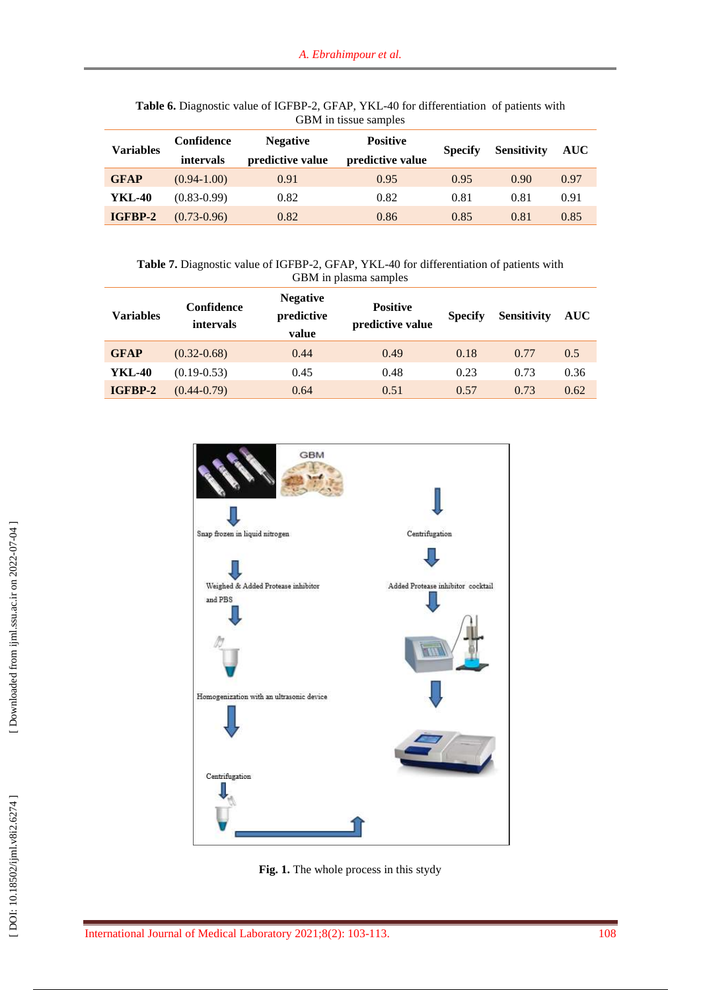| <b>Variables</b> | Confidence<br>intervals | <b>Negative</b><br>predictive value | <b>Positive</b><br>predictive value | <b>Specify</b> | <b>Sensitivity</b> | <b>AUC</b> |
|------------------|-------------------------|-------------------------------------|-------------------------------------|----------------|--------------------|------------|
| <b>GFAP</b>      | $(0.94-1.00)$           | 0.91                                | 0.95                                | 0.95           | 0.90               | 0.97       |
| YKL-40           | $(0.83 - 0.99)$         | 0.82                                | 0.82                                | 0.81           | 0.81               | 0.91       |
| IGFBP-2          | $(0.73 - 0.96)$         | 0.82                                | 0.86                                | 0.85           | 0.81               | 0.85       |

Table 6. Diagnostic value of IGFBP-2, GFAP, YKL-40 for differentiation of patients with GBM in tissue samples

Table 7. Diagnostic value of IGFBP-2, GFAP, YKL-40 for differentiation of patients with GBM in plasma samples

| <b>Variables</b> | Confidence<br>intervals | <b>Negative</b><br>predictive<br>value | <b>Positive</b><br>predictive value | <b>Specify</b> | <b>Sensitivity</b> | <b>AUC</b> |
|------------------|-------------------------|----------------------------------------|-------------------------------------|----------------|--------------------|------------|
| <b>GFAP</b>      | $(0.32 - 0.68)$         | 0.44                                   | 0.49                                | 0.18           | 0.77               | 0.5        |
| YKL-40           | $(0.19 - 0.53)$         | 0.45                                   | 0.48                                | 0.23           | 0.73               | 0.36       |
| IGFBP-2          | $(0.44 - 0.79)$         | 0.64                                   | 0.51                                | 0.57           | 0.73               | 0.62       |



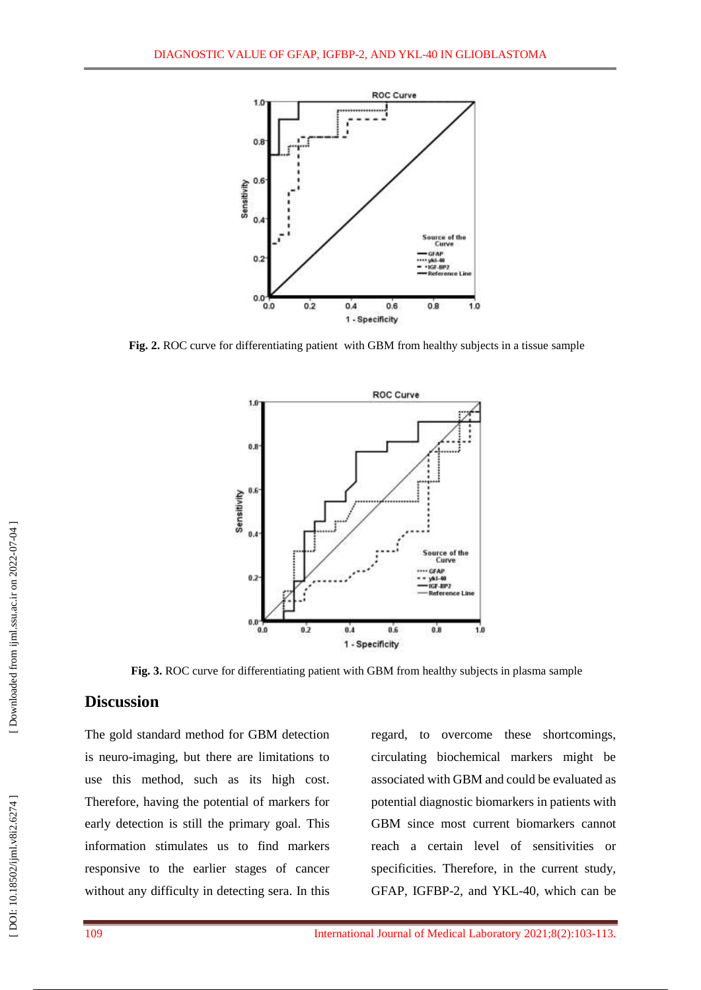

**Fig. 2 .** ROC curve for differentiating patient with GBM from healthy subjects in a tissue sample



**Fig . 3 .** ROC curve for differentiating patient with GBM from healthy subjects in plasma sample

# **Discussion**

The gold standard method for GBM detection is neuro -imaging, but there are limitations to use this method, such as its high cost. Therefore, having the potential of markers for early detection is still the primary goal. This information stimulates us to find markers responsive to the earlier stages of cancer without any difficulty in detecting sera. In this

regard, to overcome these shortcomings, circulating biochemical markers might be associated with GBM and could be evaluated as potential diagnostic biomarkers in patients with GBM since most current biomarkers cannot reach a certain level of sensitivities or specificities. Therefore, in the current study, GFAP, IGFBP -2, and YKL -40, which can be

DOI: 10.18502/ijml.v8i2.6274]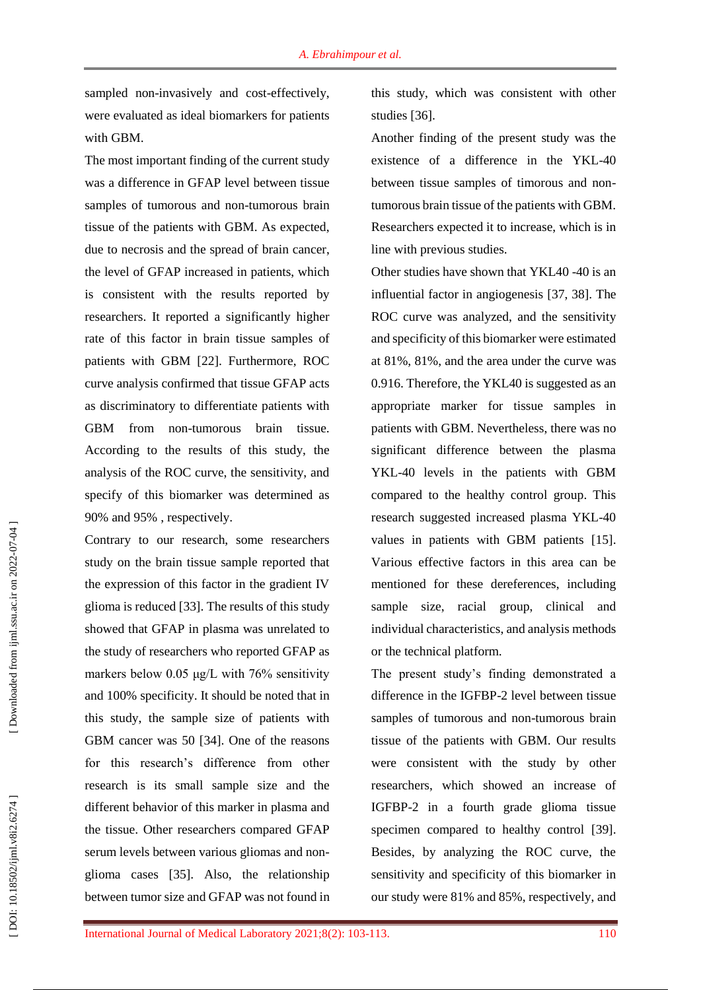sampled non-invasively and cost-effectively, were evaluated as ideal biomarkers for patients with GBM.

The most important finding of the current study was a difference in GFAP level between tissue samples of tumorous and non -tumorous brain tissue of the patients with GBM. As expected, due to necrosis and the spread of brain cancer, the level of GFAP increased in patients, which is consistent with the results reported by researchers. It reported a significantly higher rate of this factor in brain tissue samples of patients with GBM [22]. Furthermore, ROC curve analysis confirmed that tissue GFAP acts as discriminatory to differentiate patients with GBM from non -tumorous brain tissue. According to the results of this study, the analysis of the ROC curve, the sensitivity, and specify of this biomarker was determined as 90% and 95% , respectively.

Contrary to our research, some researchers study on the brain tissue sample reported that the expression of this factor in the gradient IV glioma is reduced [33]. The results of this study showed that GFAP in plasma was unrelated to the study of researchers who reported GFAP as markers below 0.05 μg/L with 76% sensitivity and 100% specificity. It should be noted that in this study, the sample size of patients with GBM cancer was 50 [34 ]. One of the reasons for this research's difference from other research is its small sample size and the different behavior of this marker in plasma and the tissue. Other researchers compared GFAP serum levels between various gliomas and non glioma cases [35 ]. Also, the relationship between tumor size and GFAP was not found in

this study, which was consistent with other studies [36].

Another finding of the present study was the existence of a difference in the YKL -40 between tissue samples of timorous and non tumorous brain tissue of the patients with GBM. Researchers expected it to increase, which is in line with previous studies.

Other studies have shown that YKL40 -40 is an influential factor in angiogenesis [37 , 3 8 ]. The ROC curve was analyzed, and the sensitivity and specificity of this biomarker were estimated at 81%, 81%, and the area under the curve was 0.916. Therefore, the YKL40 is suggested as an appropriate marker for tissue samples in patients with GBM. Nevertheless, there was no significant difference between the plasma YKL -40 levels in the patients with GBM compared to the healthy control group. This research suggested increased plasma YKL -40 values in patients with GBM patients [15]. Various effective factors in this area can be mentioned for these dereferences, including sample size, racial group, clinical and individual characteristics, and analysis methods or the technical platform.

The present study's finding demonstrated a difference in the IGFBP -2 level between tissue samples of tumorous and non -tumorous brain tissue of the patients with GBM. Our results were consistent with the study by other researchers, which showed an increase of IGFBP -2 in a fourth grade glioma tissue specimen compared to healthy control [39]. Besides, by analyzing the ROC curve, the sensitivity and specificity of this biomarker in our study were 81% and 85%, respectively, and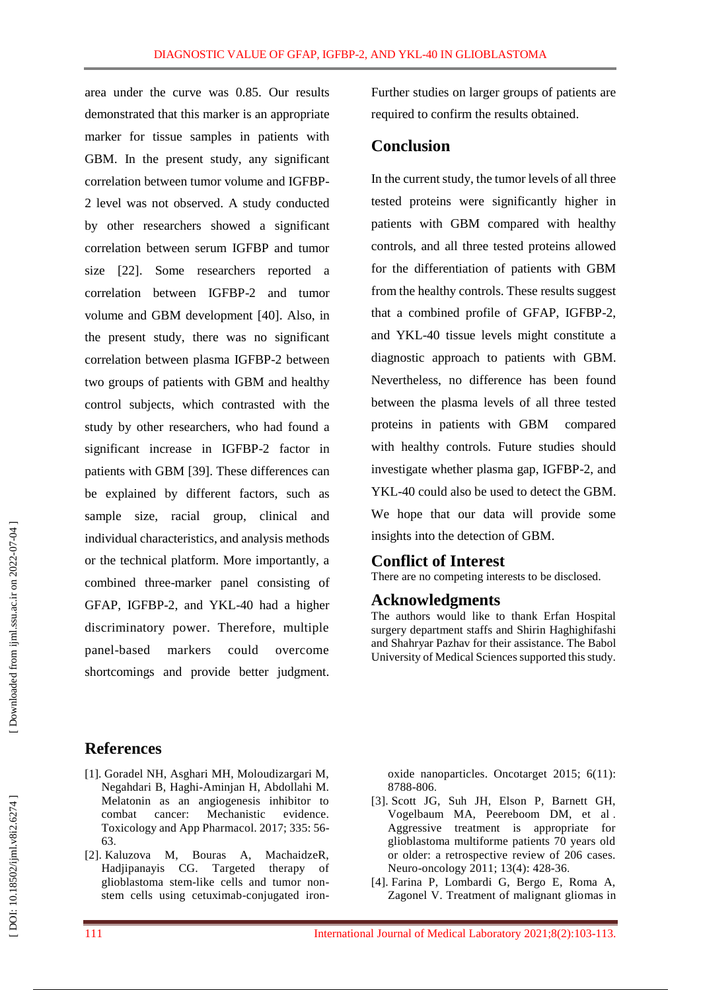area under the curve was 0.85. Our results demonstrated that this marker is an appropriate marker for tissue samples in patients with GBM. In the present study, any significant correlation between tumor volume and IGFBP - 2 level was not observed. A study conducted by other researchers showed a significant correlation between serum IGFBP and tumor size [22]. Some researchers reported a correlation between IGFBP -2 and tumor volume and GBM development [40 ]. Also, in the present study, there was no significant correlation between plasma IGFBP -2 between two groups of patients with GBM and healthy control subjects, which contrasted with the study by other researchers, who had found a significant increase in IGFBP -2 factor in patients with GBM [3 9 ]. These differences can be explained by different factors, such as sample size, racial group, clinical and individual characteristics, and analysis methods or the technical platform. More importantly, a combined three -marker panel consisting of GFAP, IGFBP -2, and YKL -40 had a higher discriminatory power. Therefore, multiple panel markers could overcome shortcomings and provide better judgment.

Further studies on larger groups of patients are required to confirm the results obtained.

### **Conclusion**

In the current study, the tumor levels of all three tested proteins were significantly higher in patients with GBM compared with healthy controls, and all three tested proteins allowed for the differentiation of patients with GBM from the healthy controls. These results suggest that a combined profile of GFAP, IGFBP -2, and YKL -40 tissue levels might constitute a diagnostic approach to patients with GBM. Nevertheless, no difference has been found between the plasma levels of all three tested proteins in patients with GBM compared with healthy controls. Future studies should investigate whether plasma gap, IGFBP -2, and YKL -40 could also be used to detect the GBM. We hope that our data will provide some insights into the detection of GBM.

### **Conflict of Interest**

There are no competing interests to be disclosed.

### **Acknowledgments**

The authors would like to thank Erfan Hospital surgery department staff s and Shirin Haghighifashi and Shahryar Pazhav for their assistance. The Babol University of Medical Sciences supported this study.

# **References**

- [1]. Goradel NH, Asghari MH, Moloudizargari M, Negahdari B, Haghi -Aminjan H, Abdollahi M. Melatonin as an angiogenesis inhibitor to combat cancer: Mechanistic evidence. Toxicology and App Pharmacol. 2017; 335: 56 - 63 .
- [2]. Kaluzova M, Bouras A, MachaidzeR, Hadjipanayis CG. Targeted therapy of glioblastoma stem -like cells and tumor non stem cells using cetuximab -conjugated iron -

oxide nanoparticles. Oncotarget 2015; 6(11): 8788 -806 .

- [3]. Scott JG, Suh JH, Elson P, Barnett GH, Vogelbaum MA, Peereboom DM, et al . Aggressive treatment is appropriate for glioblastoma multiforme patients 70 years old or older: a retrospective review of 206 cases. Neuro-oncology 2011; 13(4): 428-36.
- [4]. Farina P, Lombardi G, Bergo E, Roma A, Zagonel V. Treatment of malignant gliomas in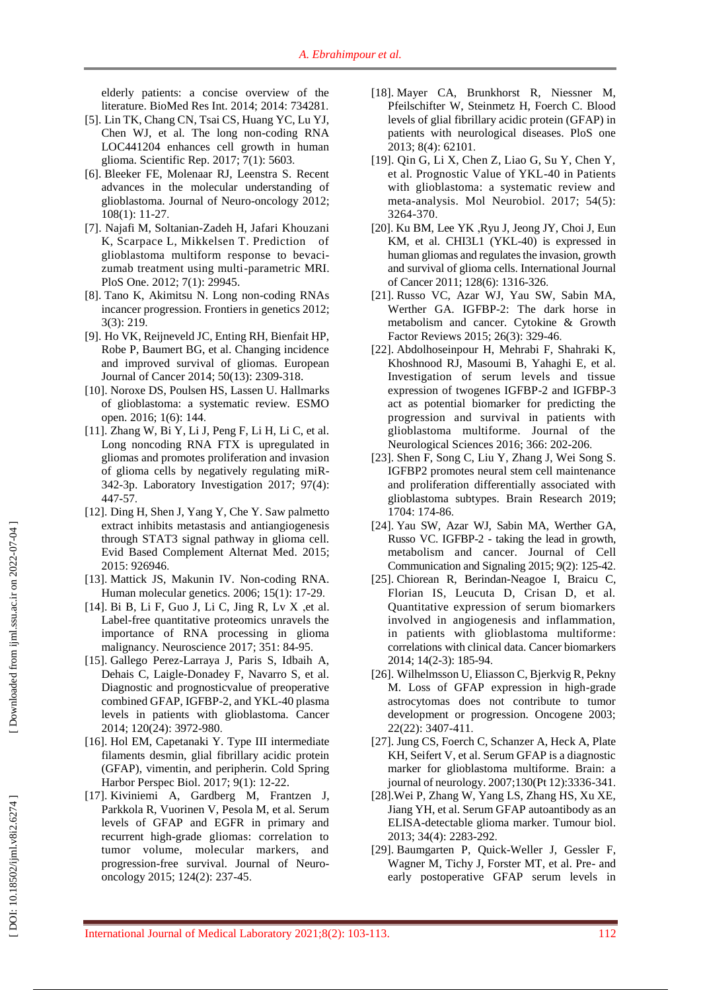elderly patients: a concise overview of the literature. BioMed Res Int. 2014; 2014: 734281 .

- [5]. Lin TK, Chang CN, Tsai CS, Huang YC, Lu YJ, Chen WJ, et al. The long non -coding RNA LOC441204 enhances cell growth in human glioma. Scientific Rep. 2017; 7(1): 5603 .
- [6]. Bleeker FE, Molenaar RJ, Leenstra S. Recent advances in the molecular understanding of glioblastoma. Journal of Neuro -oncology 2012; 108(1): 11 -27 .
- [7] . [Najafi M](https://www.ncbi.nlm.nih.gov/pubmed/?term=Najafi%20M%5BAuthor%5D&cauthor=true&cauthor_uid=22253835) , Soltanian [-Zadeh H](https://www.ncbi.nlm.nih.gov/pubmed/?term=Soltanian-Zadeh%20H%5BAuthor%5D&cauthor=true&cauthor_uid=22253835) , Jafari [Khouzani](https://www.ncbi.nlm.nih.gov/pubmed/?term=Jafari-Khouzani%20K%5BAuthor%5D&cauthor=true&cauthor_uid=22253835)  [K](https://www.ncbi.nlm.nih.gov/pubmed/?term=Jafari-Khouzani%20K%5BAuthor%5D&cauthor=true&cauthor_uid=22253835) , [Scarpace L](https://www.ncbi.nlm.nih.gov/pubmed/?term=Scarpace%20L%5BAuthor%5D&cauthor=true&cauthor_uid=22253835) , [Mikkelsen T](https://www.ncbi.nlm.nih.gov/pubmed/?term=Mikkelsen%20T%5BAuthor%5D&cauthor=true&cauthor_uid=22253835) . Prediction of glioblastoma multiform response to bevaci zumab treatment using multi -parametric MRI. P loS [One.](https://www.ncbi.nlm.nih.gov/pubmed/?term=Glioblastoma+multiform+\(GBM\)++one+of+the+most+invasive+brain+tumors) 2012; 7(1): 29945.
- [8]. Tano K, Akimitsu N. Long non -coding RNAs incancer progression. Frontiers in genetics 2012; 3(3): 219.
- [9]. Ho VK, Reijneveld JC, Enting RH, Bienfait HP, Robe P, Baumert BG, et al. Changing incidence and improved survival of gliomas. European Journal of Cancer 2014; 50(13): 2309 -318.
- [10 ] . Noroxe DS, Poulsen HS, Lassen U. Hallmarks of glioblastoma: a systematic review. ESMO open. 2016; 1(6): 144 .
- [11]. Zhang W, Bi Y, Li J, Peng F, Li H, Li C, et al. Long noncoding RNA FTX is upregulated in gliomas and promotes proliferation and invasion of glioma cells by negatively regulating mi R - 342 -3p. Laboratory Investigation 2017; 97(4): 447 -57 .
- [12]. Ding H, Shen J, Yang Y, Che Y. Saw palmetto extract inhibits metastasis and antiangiogenesis through STAT3 signal pathway in glioma cell. Evid Based Complement Alternat Med. 2015; 2015: 926946 .
- [13]. Mattick JS, Makunin IV. Non -coding RNA. Human molecular genetics. 2006; 15(1): 17-29.
- [14]. Bi B, Li F, Guo J, Li C, Jing R, Lv X ,et al. Label -free quantitative proteomics unravels the importance of RNA processing in glioma malignancy. Neuroscience 2017; 351: 84 -95 .
- [15]. Gallego Perez -Larraya J, Paris S, Idbaih A, Dehais C, Laigle -Donadey F, Navarro S, et al. Diagnostic and prognosticvalue of preoperative combined GFAP, IGFBP -2, and YKL -40 plasma levels in patients with glioblastoma. Cancer 2014; 120(24): 3972 - 980 .
- [16]. Hol EM, Capetanaki Y. Type III intermediate filaments desmin, glial fibrillary acidic protein (GFAP), vimentin, and peripherin. Cold Spring Harbor Perspec Biol. 2017; 9(1): 12 -22.
- [17]. Kiviniemi A, Gardberg M, Frantzen J, Parkkola R, Vuorinen V, Pesola M, et al. Serum levels of GFAP and EGFR in primary and recurrent high -grade gliomas: correlation to tumor volume, molecular markers, and progression -free survival. Journal of Neuro oncology 2015; 124(2): 237-45.
- [18]. Mayer CA, Brunkhorst R, Niessner M, Pfeilschifter W, Steinmetz H, Foerch C. Blood levels of glial fibrillary acidic protein (GFAP) in patients with neurological diseases. PloS one 2013; 8(4): 62101 .
- [19]. Qin G, Li X, Chen Z, Liao G, Su Y, Chen Y, et al. Prognostic Value of YKL -40 in Patients with glioblastoma: a systematic review and meta -analysis. Mol Neurobiol . 2017; 54(5): 3264 - 370 .
- [20]. Ku BM, Lee YK ,Ryu J, Jeong JY, Choi J, Eun KM, et al. CHI3L1 (YKL -40) is expressed in human gliomas and regulates the invasion, growth and survival of glioma cells. International Journal of Cancer 2011; 128(6): 1316-326.
- [21]. Russo VC, Azar WJ, Yau SW, Sabin MA, Werther GA. IGFBP -2: The dark horse in metabolism and cancer. Cytokine & Growth Factor Reviews 2015; 26(3): 329-46.
- [22]. Abdolhoseinpour H, Mehrabi F, Shahraki K, Khoshnood RJ, Masoumi B, Yahaghi E, et al. Investigation of serum levels and tissue expression of twogenes IGFBP -2 and IGFBP -3 act as potential biomarker for predicting the progression and survival in patients with glioblastoma multiforme. Journal of the Neurological Sciences 2016; 366: 202 -20 6 .
- [23]. Shen F, Song C, Liu Y, Zhang J, Wei Song S. IGFBP2 promotes neural stem cell maintenance and proliferation differentially associated with glioblastoma subtypes. Brain Research 2019; 1704: 174 -86 .
- [24]. Yau SW, Azar WJ, Sabin MA, Werther GA, Russo VC. IGFBP -2 - taking the lead in growth, metabolism and cancer. Journal of Cell Communication and Signaling 2015; 9(2): 125 -42 .
- [25]. Chiorean R, Berindan -Neagoe I, Braicu C, Florian IS, Leucuta D, Crisan D, et al. Quantitative expression of serum biomarkers involved in angiogenesis and inflammation, in patients with glioblastoma multiforme: correlations with clinical data. Cancer biomarkers 2014; 14(2 -3): 185 -94 .
- [26]. Wilhelmsson U, Eliasson C, Bjerkvig R, Pekny M. Loss of GFAP expression in high -grade astrocytomas does not contribute to tumor development or progression. Oncogene 2003; 22(22): 3407 - 411 .
- [27]. Jung CS, Foerch C, Schanzer A, Heck A, Plate KH, Seifert V, et al. Serum GFAP is a diagnostic marker for glioblastoma multiforme. Brain: a journal of neurology. 2007;130(Pt 12):3336-341.
- [28].Wei P, Zhang W, Yang LS, Zhang HS, Xu XE, Jiang YH, et al. Serum GFAP autoantibody as an ELISA -detectable glioma marker. Tumour biol. 2013; 34(4): 2283 - 292 .
- [29]. Baumgarten P, Quick -Weller J, Gessler F, Wagner M, Tichy J, Forster MT, et al. Pre- and early postoperative GFAP serum levels in